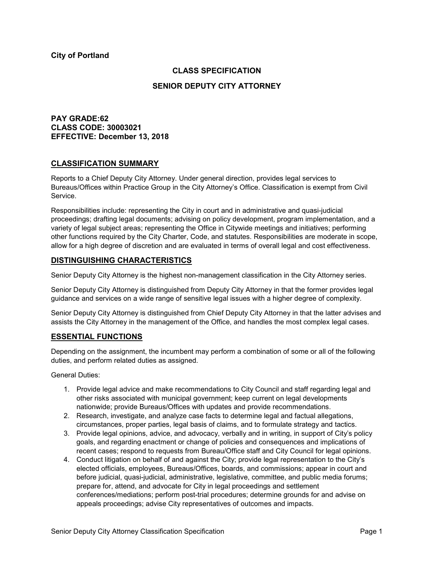# **CLASS SPECIFICATION**

### **SENIOR DEPUTY CITY ATTORNEY**

## **PAY GRADE:62 CLASS CODE: 30003021 EFFECTIVE: December 13, 2018**

## **CLASSIFICATION SUMMARY**

Reports to a Chief Deputy City Attorney. Under general direction, provides legal services to Bureaus/Offices within Practice Group in the City Attorney's Office. Classification is exempt from Civil Service.

Responsibilities include: representing the City in court and in administrative and quasi-judicial proceedings; drafting legal documents; advising on policy development, program implementation, and a variety of legal subject areas; representing the Office in Citywide meetings and initiatives; performing other functions required by the City Charter, Code, and statutes. Responsibilities are moderate in scope, allow for a high degree of discretion and are evaluated in terms of overall legal and cost effectiveness.

## **DISTINGUISHING CHARACTERISTICS**

Senior Deputy City Attorney is the highest non-management classification in the City Attorney series.

Senior Deputy City Attorney is distinguished from Deputy City Attorney in that the former provides legal guidance and services on a wide range of sensitive legal issues with a higher degree of complexity.

Senior Deputy City Attorney is distinguished from Chief Deputy City Attorney in that the latter advises and assists the City Attorney in the management of the Office, and handles the most complex legal cases.

### **ESSENTIAL FUNCTIONS**

Depending on the assignment, the incumbent may perform a combination of some or all of the following duties, and perform related duties as assigned.

General Duties:

- 1. Provide legal advice and make recommendations to City Council and staff regarding legal and other risks associated with municipal government; keep current on legal developments nationwide; provide Bureaus/Offices with updates and provide recommendations.
- 2. Research, investigate, and analyze case facts to determine legal and factual allegations, circumstances, proper parties, legal basis of claims, and to formulate strategy and tactics.
- 3. Provide legal opinions, advice, and advocacy, verbally and in writing, in support of City's policy goals, and regarding enactment or change of policies and consequences and implications of recent cases; respond to requests from Bureau/Office staff and City Council for legal opinions.
- 4. Conduct litigation on behalf of and against the City; provide legal representation to the City's elected officials, employees, Bureaus/Offices, boards, and commissions; appear in court and before judicial, quasi-judicial, administrative, legislative, committee, and public media forums; prepare for, attend, and advocate for City in legal proceedings and settlement conferences/mediations; perform post-trial procedures; determine grounds for and advise on appeals proceedings; advise City representatives of outcomes and impacts.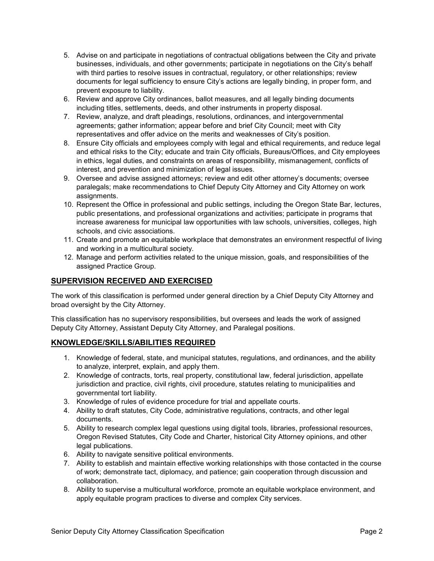- 5. Advise on and participate in negotiations of contractual obligations between the City and private businesses, individuals, and other governments; participate in negotiations on the City's behalf with third parties to resolve issues in contractual, regulatory, or other relationships; review documents for legal sufficiency to ensure City's actions are legally binding, in proper form, and prevent exposure to liability.
- 6. Review and approve City ordinances, ballot measures, and all legally binding documents including titles, settlements, deeds, and other instruments in property disposal.
- 7. Review, analyze, and draft pleadings, resolutions, ordinances, and intergovernmental agreements; gather information; appear before and brief City Council; meet with City representatives and offer advice on the merits and weaknesses of City's position.
- 8. Ensure City officials and employees comply with legal and ethical requirements, and reduce legal and ethical risks to the City; educate and train City officials, Bureaus/Offices, and City employees in ethics, legal duties, and constraints on areas of responsibility, mismanagement, conflicts of interest, and prevention and minimization of legal issues.
- 9. Oversee and advise assigned attorneys; review and edit other attorney's documents; oversee paralegals; make recommendations to Chief Deputy City Attorney and City Attorney on work assignments.
- 10. Represent the Office in professional and public settings, including the Oregon State Bar, lectures, public presentations, and professional organizations and activities; participate in programs that increase awareness for municipal law opportunities with law schools, universities, colleges, high schools, and civic associations.
- 11. Create and promote an equitable workplace that demonstrates an environment respectful of living and working in a multicultural society.
- 12. Manage and perform activities related to the unique mission, goals, and responsibilities of the assigned Practice Group.

# **SUPERVISION RECEIVED AND EXERCISED**

The work of this classification is performed under general direction by a Chief Deputy City Attorney and broad oversight by the City Attorney.

This classification has no supervisory responsibilities, but oversees and leads the work of assigned Deputy City Attorney, Assistant Deputy City Attorney, and Paralegal positions.

# **KNOWLEDGE/SKILLS/ABILITIES REQUIRED**

- 1. Knowledge of federal, state, and municipal statutes, regulations, and ordinances, and the ability to analyze, interpret, explain, and apply them.
- 2. Knowledge of contracts, torts, real property, constitutional law, federal jurisdiction, appellate jurisdiction and practice, civil rights, civil procedure, statutes relating to municipalities and governmental tort liability.
- 3. Knowledge of rules of evidence procedure for trial and appellate courts.
- 4. Ability to draft statutes, City Code, administrative regulations, contracts, and other legal documents.
- 5. Ability to research complex legal questions using digital tools, libraries, professional resources, Oregon Revised Statutes, City Code and Charter, historical City Attorney opinions, and other legal publications.
- 6. Ability to navigate sensitive political environments.
- 7. Ability to establish and maintain effective working relationships with those contacted in the course of work; demonstrate tact, diplomacy, and patience; gain cooperation through discussion and collaboration.
- 8. Ability to supervise a multicultural workforce, promote an equitable workplace environment, and apply equitable program practices to diverse and complex City services.